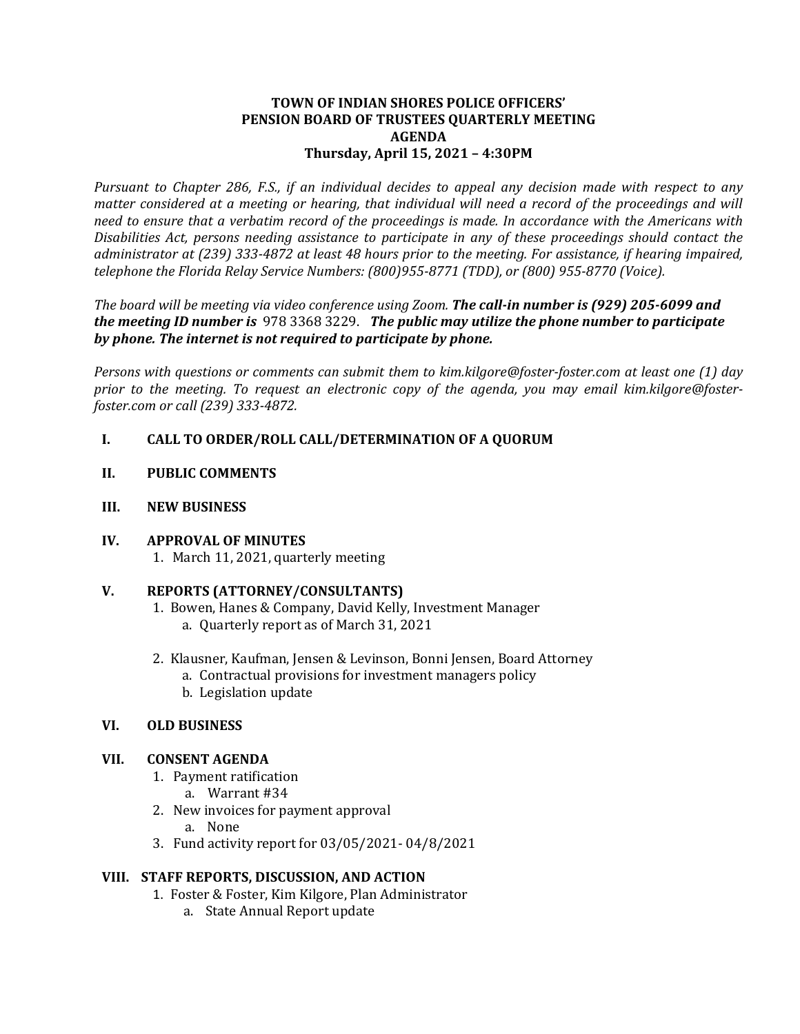### **TOWN OF INDIAN SHORES POLICE OFFICERS' PENSION BOARD OF TRUSTEES QUARTERLY MEETING AGENDA Thursday, April 15, 2021 – 4:30PM**

*Pursuant to Chapter 286, F.S., if an individual decides to appeal any decision made with respect to any matter considered at a meeting or hearing, that individual will need a record of the proceedings and will need to ensure that a verbatim record of the proceedings is made. In accordance with the Americans with Disabilities Act, persons needing assistance to participate in any of these proceedings should contact the administrator at (239) 333-4872 at least 48 hours prior to the meeting. For assistance, if hearing impaired, telephone the Florida Relay Service Numbers: (800)955-8771 (TDD), or (800) 955-8770 (Voice).*

*The board will be meeting via video conference using Zoom. The call-in number is (929) 205-6099 and the meeting ID number is* 978 3368 3229. *The public may utilize the phone number to participate by phone. The internet is not required to participate by phone.* 

*Persons with questions or comments can submit them to kim.kilgore@foster-foster.com at least one (1) day prior to the meeting. To request an electronic copy of the agenda, you may email kim.kilgore@fosterfoster.com or call (239) 333-4872.*

## **I. CALL TO ORDER/ROLL CALL/DETERMINATION OF A QUORUM**

- **II. PUBLIC COMMENTS**
- **III. NEW BUSINESS**

#### **IV. APPROVAL OF MINUTES**

1. March 11, 2021, quarterly meeting

#### **V. REPORTS (ATTORNEY/CONSULTANTS)**

- 1. Bowen, Hanes & Company, David Kelly, Investment Manager a. Quarterly report as of March 31, 2021
- 2. Klausner, Kaufman, Jensen & Levinson, Bonni Jensen, Board Attorney a. Contractual provisions for investment managers policy
	- b. Legislation update

## **VI. OLD BUSINESS**

#### **VII. CONSENT AGENDA**

- 1. Payment ratification
	- a. Warrant #34
- 2. New invoices for payment approval
	- a. None
- 3. Fund activity report for 03/05/2021- 04/8/2021

## **VIII. STAFF REPORTS, DISCUSSION, AND ACTION**

- 1. Foster & Foster, Kim Kilgore, Plan Administrator
	- a. State Annual Report update